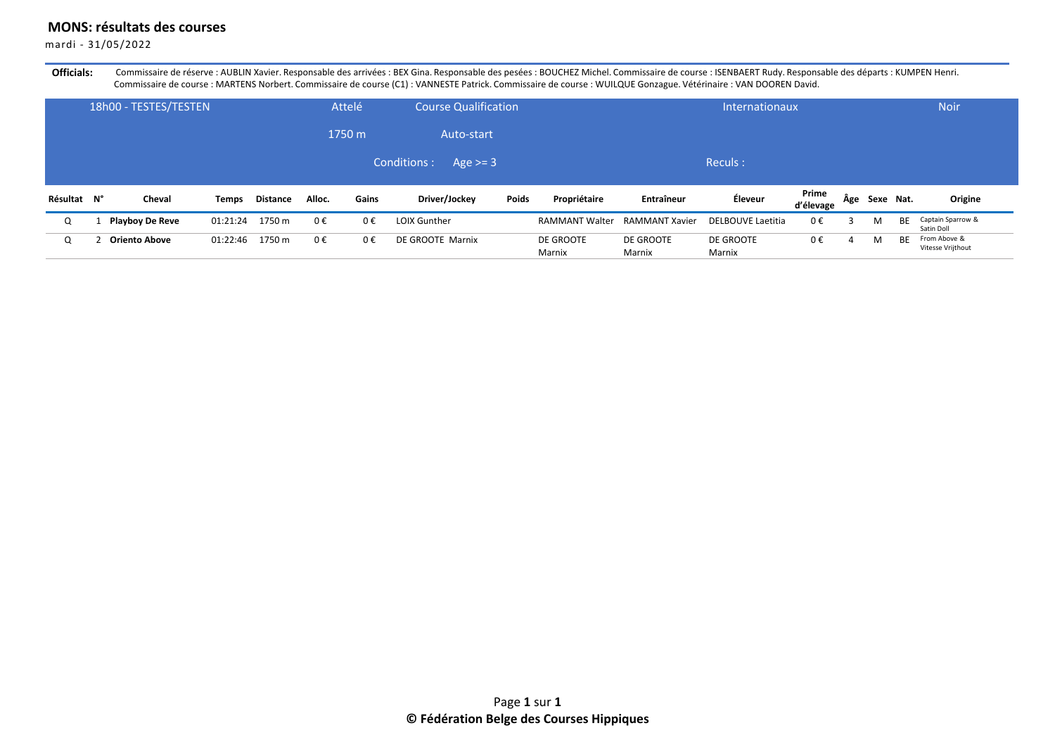## **MONS: résultats des courses**

mardi - 31/05/2022

Officials: Commissaire de réserve : AUBLIN Xavier. Responsable des arrivées : BEX Gina. Responsable des pesées : BOUCHEZ Michel. Commissaire de course : ISENBAERT Rudy. Responsable des départs : KUMPEN Henri. Commissaire de course : MARTENS Norbert. Commissaire de course (C1) : VANNESTE Patrick. Commissaire de course : WUILQUE Gonzague. Vétérinaire : VAN DOOREN David.

|             | 18h00 - TESTES/TESTEN  |              |          |         | Attelé  | <b>Course Qualification</b> |       |                       |                       | <b>Internationaux</b> |                    |   |               |           | <b>Noir</b>                       |
|-------------|------------------------|--------------|----------|---------|---------|-----------------------------|-------|-----------------------|-----------------------|-----------------------|--------------------|---|---------------|-----------|-----------------------------------|
|             |                        |              |          |         | 1750 m  | Auto-start                  |       |                       |                       |                       |                    |   |               |           |                                   |
|             |                        |              |          |         |         | Conditions :<br>Age $>=$ 3  |       |                       |                       | Reculs:               |                    |   |               |           |                                   |
| Résultat N° | Cheval                 | <b>Temps</b> | Distance | Alloc.  | Gains   | Driver/Jockey               | Poids | Propriétaire          | Entraîneur            | Éleveur               | Prime<br>d'élevage |   | Age Sexe Nat. |           | Origine                           |
| Q           | <b>Playboy De Reve</b> | 01:21:24     | 1750 m   | $0 \in$ | $0 \in$ | <b>LOIX Gunther</b>         |       | <b>RAMMANT Walter</b> | <b>RAMMANT Xavier</b> | DELBOUVE Laetitia     | 0€                 |   | M             | <b>BE</b> | Captain Sparrow &<br>Satin Doll   |
|             | Oriento Above          | 01:22:46     | 1750 m   | $0 \in$ | 0€      | DE GROOTE Marnix            |       | DE GROOTE<br>Marnix   | DE GROOTE<br>Marnix   | DE GROOTE<br>Marnix   | 0€                 | 4 | M             | BE        | From Above &<br>Vitesse Vrijthout |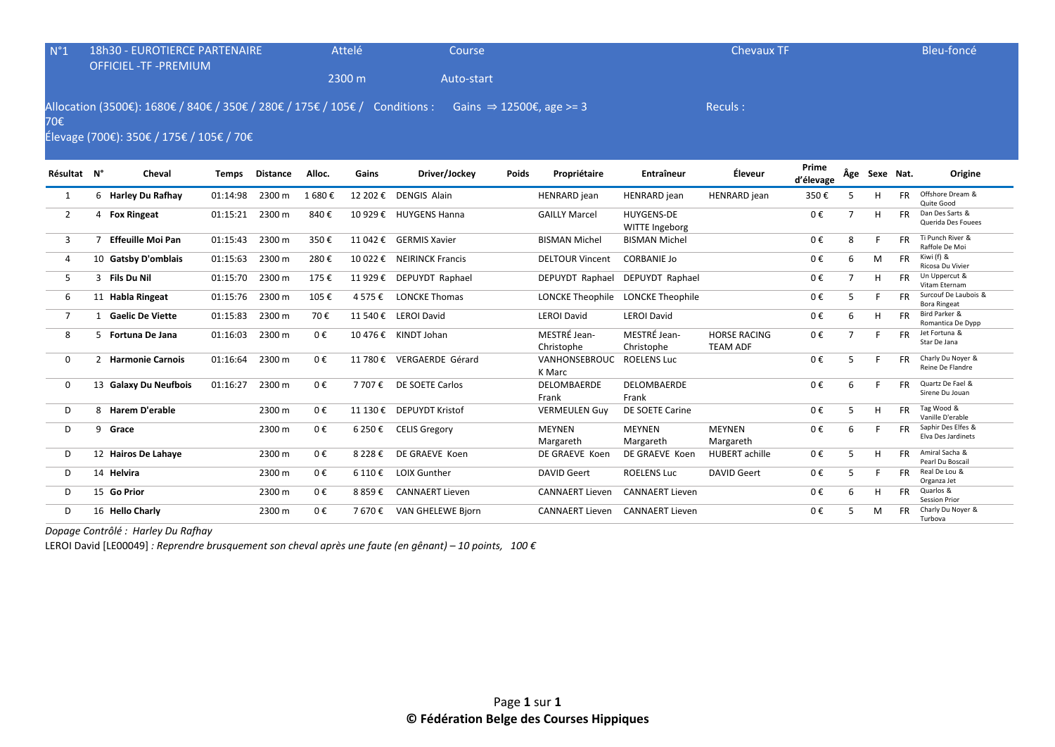| $N^{\circ}1$   | <b>18h30 - EUROTIERCE PARTENAIRE</b>                                                                                    |              |                 | Attelé  | Course    |                           |       |                                      | <b>Chevaux TF</b>                   |                                        |                    |                |               | Bleu-foncé |                                             |
|----------------|-------------------------------------------------------------------------------------------------------------------------|--------------|-----------------|---------|-----------|---------------------------|-------|--------------------------------------|-------------------------------------|----------------------------------------|--------------------|----------------|---------------|------------|---------------------------------------------|
|                | <b>OFFICIEL -TF -PREMIUM</b>                                                                                            |              |                 |         | 2300 m    | Auto-start                |       |                                      |                                     |                                        |                    |                |               |            |                                             |
| 70€            | Allocation (3500€): 1680€ / 840€ / 350€ / 280€ / 175€ / 105€ / Conditions :<br>Élevage (700€): 350€ / 175€ / 105€ / 70€ |              |                 |         |           |                           |       | Gains $\Rightarrow$ 12500€, age >= 3 |                                     | Reculs:                                |                    |                |               |            |                                             |
| Résultat N°    | Cheval                                                                                                                  | <b>Temps</b> | <b>Distance</b> | Alloc.  | Gains     | Driver/Jockey             | Poids | Propriétaire                         | Entraîneur                          | Éleveur                                | Prime<br>d'élevage |                | Âge Sexe Nat. |            | Origine                                     |
| 1              | 6 Harley Du Rafhay                                                                                                      | 01:14:98     | 2300 m          | 1 680€  |           | 12 202 € DENGIS Alain     |       | <b>HENRARD</b> jean                  | HENRARD jean                        | <b>HENRARD</b> jean                    | 350€               | 5              | н             | <b>FR</b>  | Offshore Dream &<br>Quite Good              |
| $\overline{2}$ | 4 Fox Ringeat                                                                                                           | 01:15:21     | 2300 m          | 840€    |           | 10 929 € HUYGENS Hanna    |       | <b>GAILLY Marcel</b>                 | <b>HUYGENS-DE</b><br>WITTE Ingeborg |                                        | 0€                 | $\overline{7}$ | H             | <b>FR</b>  | Dan Des Sarts &<br>Querida Des Fouees       |
| 3              | 7 Effeuille Moi Pan                                                                                                     | 01:15:43     | 2300 m          | 350€    |           | 11 042 € GERMIS Xavier    |       | <b>BISMAN Michel</b>                 | <b>BISMAN Michel</b>                |                                        | 0€                 | 8              | F             | <b>FR</b>  | Ti Punch River &<br>Raffole De Moi          |
| 4              | 10 Gatsby D'omblais                                                                                                     | 01:15:63     | 2300 m          | 280€    |           | 10 022 € NEIRINCK Francis |       | <b>DELTOUR Vincent</b>               | <b>CORBANIE Jo</b>                  |                                        | 0€                 | 6              | M             | <b>FR</b>  | Kiwi (f) &<br>Ricosa Du Vivier              |
| 5              | 3 Fils Du Nil                                                                                                           | 01:15:70     | 2300 m          | 175€    |           | 11 929 € DEPUYDT Raphael  |       | DEPUYDT Raphael                      | DEPUYDT Raphael                     |                                        | 0€                 | $\overline{7}$ | H             | <b>FR</b>  | Un Uppercut &<br>Vitam Eternam              |
| 6              | 11 Habla Ringeat                                                                                                        | 01:15:76     | 2300 m          | 105€    | 4 575 €   | <b>LONCKE Thomas</b>      |       | <b>LONCKE Theophile</b>              | <b>LONCKE Theophile</b>             |                                        | 0€                 | 5              | F             | FR.        | Surcouf De Laubois &<br><b>Bora Ringeat</b> |
| $\overline{7}$ | 1 Gaelic De Viette                                                                                                      | 01:15:83     | 2300 m          | 70€     |           | 11 540 € LEROI David      |       | <b>LEROI David</b>                   | <b>LEROI David</b>                  |                                        | 0€                 | 6              | H             | FR.        | Bird Parker &<br>Romantica De Dypp          |
| 8              | 5 Fortuna De Jana                                                                                                       | 01:16:03     | 2300 m          | 0€      |           | 10 476 € KINDT Johan      |       | MESTRÉ Jean-<br>Christophe           | MESTRÉ Jean-<br>Christophe          | <b>HORSE RACING</b><br><b>TEAM ADF</b> | 0€                 | $\overline{7}$ | F             | <b>FR</b>  | Jet Fortuna &<br>Star De Jana               |
| $\mathbf{0}$   | 2 Harmonie Carnois                                                                                                      | 01:16:64     | 2300 m          | 0€      |           | 11 780 € VERGAERDE Gérard |       | VANHONSEBROUC<br>K Marc              | <b>ROELENS Luc</b>                  |                                        | 0€                 | 5              | F             | <b>FR</b>  | Charly Du Noyer &<br>Reine De Flandre       |
| 0              | 13 Galaxy Du Neufbois                                                                                                   | 01:16:27     | 2300 m          | $0 \in$ | 7 707 €   | DE SOETE Carlos           |       | DELOMBAERDE<br>Frank                 | <b>DELOMBAERDE</b><br>Frank         |                                        | 0€                 | 6              | F             | <b>FR</b>  | Quartz De Fael &<br>Sirene Du Jouan         |
| D              | 8 Harem D'erable                                                                                                        |              | 2300 m          | 0€      |           | 11 130 € DEPUYDT Kristof  |       | <b>VERMEULEN Guy</b>                 | DE SOETE Carine                     |                                        | 0€                 | 5              | H             | FR.        | Tag Wood &<br>Vanille D'erable              |
| D              | 9 Grace                                                                                                                 |              | 2300 m          | 0€      | 6 250 €   | <b>CELIS Gregory</b>      |       | <b>MEYNEN</b><br>Margareth           | <b>MEYNEN</b><br>Margareth          | MEYNEN<br>Margareth                    | 0€                 | 6              | E             | <b>FR</b>  | Saphir Des Elfes &<br>Elva Des Jardinets    |
| D              | 12 Hairos De Lahaye                                                                                                     |              | 2300 m          | $0 \in$ | 8 2 2 8 € | DE GRAEVE Koen            |       | DE GRAEVE Koen                       | DE GRAEVE Koen                      | <b>HUBERT</b> achille                  | 0€                 | 5              | H             | FR.        | Amiral Sacha &<br>Pearl Du Boscail          |
| D              | 14 Helvira                                                                                                              |              | 2300 m          | $0 \in$ | 6 110 €   | <b>LOIX Gunther</b>       |       | <b>DAVID Geert</b>                   | <b>ROELENS Luc</b>                  | <b>DAVID Geert</b>                     | 0€                 | 5              | F             | <b>FR</b>  | Real De Lou &<br>Organza Jet                |
| D              | 15 Go Prior                                                                                                             |              | 2300 m          | 0€      | 8859€     | <b>CANNAERT Lieven</b>    |       | <b>CANNAERT Lieven</b>               | <b>CANNAERT Lieven</b>              |                                        | 0€                 | 6              | H             | <b>FR</b>  | Quarlos &<br><b>Session Prior</b>           |
| D              | 16 Hello Charly                                                                                                         |              | 2300 m          | 0€      | 7 670 €   | <b>VAN GHELEWE Bjorn</b>  |       | <b>CANNAERT Lieven</b>               | <b>CANNAERT Lieven</b>              |                                        | 0€                 | 5              | M             | <b>FR</b>  | Charly Du Noyer &<br>Turbova                |

*Dopage Contrôlé : Harley Du Rafhay* 

LEROI David [LE00049] *: Reprendre brusquement son cheval après une faute (en gênant) – 10 points, 100 €*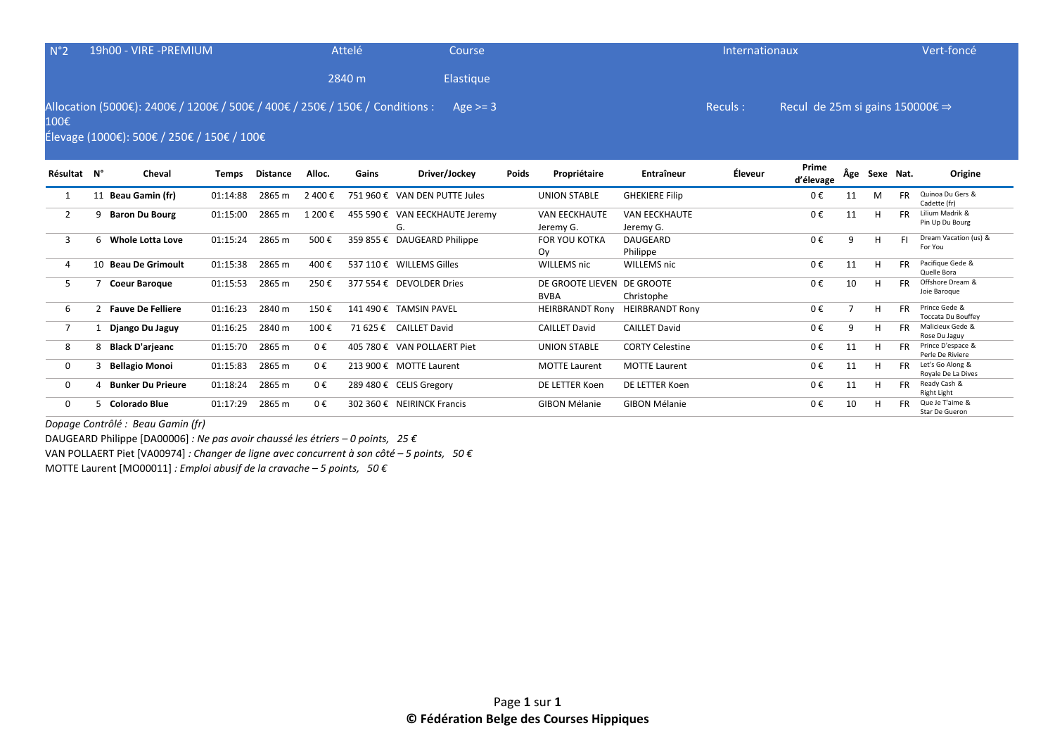| N°2  | 19h00 - VIRE -PREMIUM                                                                                                                 | <b>Attelé</b> | Course           | Internationaux |                                                | Vert-foncé |
|------|---------------------------------------------------------------------------------------------------------------------------------------|---------------|------------------|----------------|------------------------------------------------|------------|
|      |                                                                                                                                       | 2840 m        | <b>Elastique</b> |                |                                                |            |
| 100€ | Allocation (5000€): 2400€ / 1200€ / 500€ / 400€ / 250€ / 150€ / Conditions : Age >= 3<br>$f_{\text{lower}}(10005), \text{true}(1006)$ |               |                  | Reculs:        | Recul de 25m si gains 150000 $\xi \Rightarrow$ |            |

Élevage (1000€): 500€ / 250€ / 150€ / 100€

| Résultat N°  |   | Cheval                   | Temps    | Distance | Alloc.  | Gains     | Driver/Jockey                        | Poids | Propriétaire                      | <b>Entraîneur</b>                 | Éleveur | Prime<br>d'élevage | Âge | Sexe Nat. |           | Origine                                |
|--------------|---|--------------------------|----------|----------|---------|-----------|--------------------------------------|-------|-----------------------------------|-----------------------------------|---------|--------------------|-----|-----------|-----------|----------------------------------------|
|              |   | 11 Beau Gamin (fr)       | 01:14:88 | 2865 m   | 2 400 € |           | 751 960 € VAN DEN PUTTE Jules        |       | UNION STABLE                      | <b>GHEKIERE Filip</b>             |         | $0 \in$            | 11  | M         | <b>FR</b> | Quinoa Du Gers &<br>Cadette (fr)       |
|              |   | 9 Baron Du Bourg         | 01:15:00 | 2865 m   | 1 200 € |           | 455 590 € VAN EECKHAUTE Jeremy<br>G. |       | <b>VAN EECKHAUTE</b><br>Jeremy G. | <b>VAN EECKHAUTE</b><br>Jeremy G. |         | 0€                 | 11  | н         | <b>FR</b> | Lilium Madrik &<br>Pin Up Du Bourg     |
| 3            | 6 | Whole Lotta Love         | 01:15:24 | 2865 m   | 500€    | 359 855 € | DAUGEARD Philippe                    |       | <b>FOR YOU KOTKA</b><br>Ov        | <b>DAUGEARD</b><br>Philippe       |         | $0 \in$            | 9   | H         | <b>FI</b> | Dream Vacation (us) &<br>For You       |
| 4            |   | 10 Beau De Grimoult      | 01:15:38 | 2865 m   | 400 €   |           | 537 110 € WILLEMS Gilles             |       | WILLEMS nic                       | WILLEMS nic                       |         | 0€                 | 11  | Н         | <b>FR</b> | Pacifique Gede &<br>Quelle Bora        |
| 5            |   | <b>Coeur Baroque</b>     | 01:15:53 | 2865 m   | 250€    |           | 377 554 € DEVOLDER Dries             |       | DE GROOTE LIEVEN<br><b>BVBA</b>   | DE GROOTE<br>Christophe           |         | $0 \in$            | 10  | н         | <b>FR</b> | Offshore Dream &<br>Joie Baroque       |
| 6            |   | <b>Fauve De Felliere</b> | 01:16:23 | 2840 m   | 150€    |           | 141 490 € TAMSIN PAVEL               |       | <b>HEIRBRANDT Rony</b>            | <b>HEIRBRANDT Rony</b>            |         | 0€                 |     | н         | <b>FR</b> | Prince Gede &<br>Toccata Du Bouffey    |
|              |   | Django Du Jaguy          | 01:16:25 | 2840 m   | 100€    |           | 71 625 € CAILLET David               |       | <b>CAILLET David</b>              | <b>CAILLET David</b>              |         | $0 \in$            | 9   | H         | <b>FR</b> | Malicieux Gede &<br>Rose Du Jaguy      |
| 8            |   | 8 Black D'arjeanc        | 01:15:70 | 2865 m   | $0 \in$ |           | 405 780 € VAN POLLAERT Piet          |       | UNION STABLE                      | <b>CORTY Celestine</b>            |         | $0 \in$            | 11  | н         | <b>FR</b> | Prince D'espace &<br>Perle De Riviere  |
| $\mathbf{0}$ |   | <b>Bellagio Monoi</b>    | 01:15:83 | 2865 m   | $0 \in$ |           | 213 900 € MOTTE Laurent              |       | <b>MOTTE Laurent</b>              | <b>MOTTE Laurent</b>              |         | $0 \in$            | 11  | н         | <b>FR</b> | Let's Go Along &<br>Rovale De La Dives |
| $\Omega$     |   | 4 Bunker Du Prieure      | 01:18:24 | 2865 m   | 0€      |           | 289 480 € CELIS Gregory              |       | DE LETTER Koen                    | DE LETTER Koen                    |         | $0 \in$            | 11  | н         | <b>FR</b> | Ready Cash &<br>Right Light            |
| $\Omega$     | 5 | Colorado Blue            | 01:17:29 | 2865 m   | $0 \in$ |           | 302 360 € NEIRINCK Francis           |       | <b>GIBON Mélanie</b>              | <b>GIBON Mélanie</b>              |         | $0 \in$            | 10  | н         | <b>FR</b> | Que Je T'aime &<br>Star De Gueron      |

*Dopage Contrôlé : Beau Gamin (fr)* 

DAUGEARD Philippe [DA00006] *: Ne pas avoir chaussé les étriers – 0 points, 25 €*

VAN POLLAERT Piet [VA00974] *: Changer de ligne avec concurrent à son côté – 5 points, 50 €*

MOTTE Laurent [MO00011] *: Emploi abusif de la cravache – 5 points, 50 €*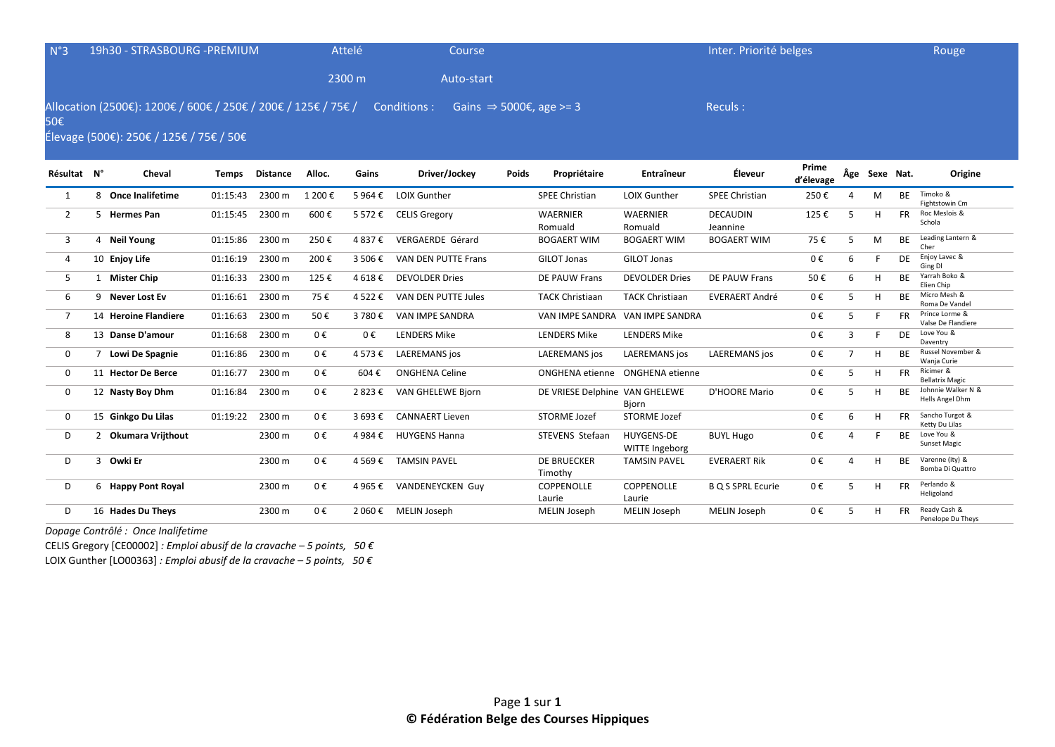| $N^{\circ}3$   |   | 19h30 - STRASBOURG - PREMIUM                                                                             |              |                 |         | Attelé  | Course                     |       |                                     |                                     | Inter. Priorité belges      |                    |   |               |           | Rouge                                 |
|----------------|---|----------------------------------------------------------------------------------------------------------|--------------|-----------------|---------|---------|----------------------------|-------|-------------------------------------|-------------------------------------|-----------------------------|--------------------|---|---------------|-----------|---------------------------------------|
|                |   |                                                                                                          |              |                 |         | 2300 m  | Auto-start                 |       |                                     |                                     |                             |                    |   |               |           |                                       |
| 50€            |   | Allocation (2500€): 1200€ / 600€ / 250€ / 200€ / 125€ / 75€ /<br>Élevage (500€): 250€ / 125€ / 75€ / 50€ |              |                 |         |         | Conditions :               |       | Gains $\Rightarrow$ 5000€, age >= 3 |                                     | Reculs:                     |                    |   |               |           |                                       |
| Résultat N°    |   | Cheval                                                                                                   | <b>Temps</b> | <b>Distance</b> | Alloc.  | Gains   | Driver/Jockey              | Poids | Propriétaire                        | <b>Entraîneur</b>                   | Éleveur                     | Prime<br>d'élevage |   | Âge Sexe Nat. |           | Origine                               |
| 1              |   | 8 Once Inalifetime                                                                                       | 01:15:43     | 2300 m          | 1 200€  | 5964€   | <b>LOIX Gunther</b>        |       | <b>SPEE Christian</b>               | <b>LOIX Gunther</b>                 | <b>SPEE Christian</b>       | 250€               | Δ | M             | <b>BE</b> | Timoko &<br>Fightstowin Cm            |
| 2              |   | 5 Hermes Pan                                                                                             | 01:15:45     | 2300 m          | 600€    | 5 572€  | <b>CELIS Gregory</b>       |       | <b>WAERNIER</b><br>Romuald          | <b>WAERNIER</b><br>Romuald          | <b>DECAUDIN</b><br>Jeannine | 125€               | 5 | H             | <b>FR</b> | Roc Meslois &<br>Schola               |
| 3              |   | 4 Neil Young                                                                                             | 01:15:86     | 2300 m          | 250€    | 4 837 € | VERGAERDE Gérard           |       | <b>BOGAERT WIM</b>                  | <b>BOGAERT WIM</b>                  | <b>BOGAERT WIM</b>          | 75€                | 5 | M             | <b>BE</b> | Leading Lantern &<br>Cher             |
| 4              |   | 10 Enjoy Life                                                                                            | 01:16:19     | 2300 m          | 200€    | 3 506€  | <b>VAN DEN PUTTE Frans</b> |       | GILOT Jonas                         | <b>GILOT Jonas</b>                  |                             | 0€                 | 6 | F             | <b>DE</b> | Enjoy Lavec &<br>Ging DI              |
| 5              |   | 1 Mister Chip                                                                                            | 01:16:33     | 2300 m          | 125€    | 4 618€  | <b>DEVOLDER Dries</b>      |       | <b>DE PAUW Frans</b>                | <b>DEVOLDER Dries</b>               | DE PAUW Frans               | 50€                | 6 | H             | <b>BE</b> | Yarrah Boko &<br>Elien Chip           |
| 6              |   | 9 Never Lost Ev                                                                                          | 01:16:61     | 2300 m          | 75€     | 4522€   | VAN DEN PUTTE Jules        |       | <b>TACK Christiaan</b>              | <b>TACK Christiaan</b>              | <b>EVERAERT André</b>       | 0€                 | 5 | H             | <b>BE</b> | Micro Mesh &<br>Roma De Vandel        |
| $\overline{7}$ |   | 14 Heroine Flandiere                                                                                     | 01:16:63     | 2300 m          | 50€     | 3 780€  | <b>VAN IMPE SANDRA</b>     |       | VAN IMPE SANDRA                     | VAN IMPE SANDRA                     |                             | 0€                 | 5 |               | <b>FR</b> | Prince Lorme &<br>Valse De Flandiere  |
| 8              |   | 13 Danse D'amour                                                                                         | 01:16:68     | 2300 m          | $0 \in$ | 0€      | <b>LENDERS Mike</b>        |       | <b>LENDERS Mike</b>                 | <b>LENDERS Mike</b>                 |                             | 0€                 | 3 | F             | DE        | Love You &<br>Daventry                |
| 0              |   | 7 Lowi De Spagnie                                                                                        | 01:16:86     | 2300 m          | 0€      | 4573€   | <b>LAEREMANS</b> jos       |       | <b>LAEREMANS</b> jos                | LAEREMANS jos                       | <b>LAEREMANS</b> jos        | 0€                 | 7 | н             | <b>BF</b> | Russel November &<br>Wanja Curie      |
| $\Omega$       |   | 11 Hector De Berce                                                                                       | 01:16:77     | 2300 m          | 0€      | 604€    | <b>ONGHENA Celine</b>      |       | <b>ONGHENA</b> etienne              | ONGHENA etienne                     |                             | 0€                 | 5 | H             | <b>FR</b> | Ricimer &<br><b>Bellatrix Magic</b>   |
| 0              |   | 12 Nasty Boy Dhm                                                                                         | 01:16:84     | 2300 m          | 0€      | 2823€   | <b>VAN GHELEWE Bjorn</b>   |       | DE VRIESE Delphine VAN GHELEWE      | Bjorn                               | D'HOORE Mario               | 0€                 | 5 | H             | <b>BE</b> | Johnnie Walker N &<br>Hells Angel Dhm |
| $\mathbf{0}$   |   | 15 Ginkgo Du Lilas                                                                                       | 01:19:22     | 2300 m          | 0€      | 3 693€  | <b>CANNAERT Lieven</b>     |       | <b>STORME Jozef</b>                 | <b>STORME Jozef</b>                 |                             | 0€                 | 6 | H             | <b>FR</b> | Sancho Turgot &<br>Ketty Du Lilas     |
| D              |   | 2 Okumara Vrijthout                                                                                      |              | 2300 m          | 0€      | 4 984 € | <b>HUYGENS Hanna</b>       |       | <b>STEVENS Stefaan</b>              | <b>HUYGENS-DE</b><br>WITTE Ingeborg | <b>BUYL Hugo</b>            | 0€                 | 4 | F             | <b>BE</b> | Love You &<br><b>Sunset Magic</b>     |
| D              | 3 | Owki Er                                                                                                  |              | 2300 m          | 0€      | 4 569€  | <b>TAMSIN PAVEL</b>        |       | <b>DE BRUECKER</b><br>Timothy       | <b>TAMSIN PAVEL</b>                 | <b>EVERAERT Rik</b>         | 0€                 | 4 | H             | <b>BE</b> | Varenne (ity) &<br>Bomba Di Quattro   |
| D              |   | 6 Happy Pont Royal                                                                                       |              | 2300 m          | 0€      | 4 965 € | <b>VANDENEYCKEN Guy</b>    |       | COPPENOLLE                          | <b>COPPENOLLE</b>                   | <b>B Q S SPRL Ecurie</b>    | 0€                 | 5 |               | <b>FR</b> | Perlando &                            |

*Dopage Contrôlé : Once Inalifetime* 

CELIS Gregory [CE00002] *: Emploi abusif de la cravache – 5 points, 50 €*

LOIX Gunther [LO00363] *: Emploi abusif de la cravache – 5 points, 50 €*

Laurie

D 16 Hades Du Theys 2300 m 0 € 2 060 € MELIN Joseph MELIN Joseph MELIN Joseph MELIN Joseph 0 € 5 H FR Ready Cash &

Laurie

Heligoland

Penelope Du Theys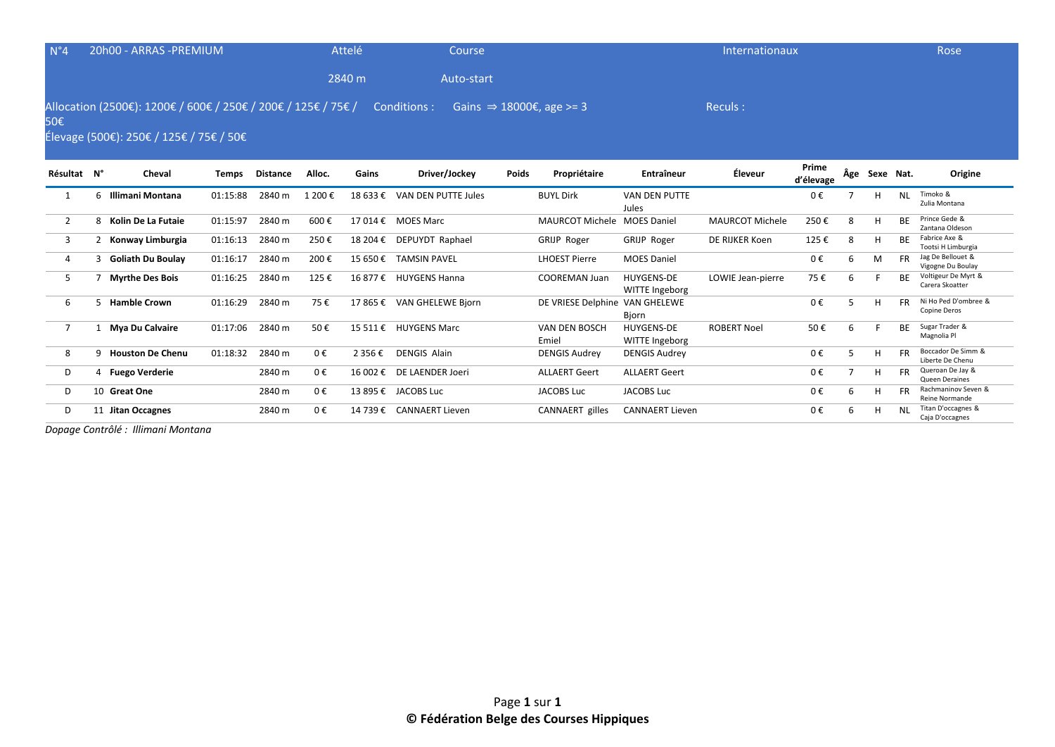| $N^{\circ}4$   |   | 20h00 - ARRAS - PREMIUM                                                                                  |              |                 |         | Attelé   | Course                     |              |                                      |                                     | Internationaux         |                    |     |           |           | Rose                                   |
|----------------|---|----------------------------------------------------------------------------------------------------------|--------------|-----------------|---------|----------|----------------------------|--------------|--------------------------------------|-------------------------------------|------------------------|--------------------|-----|-----------|-----------|----------------------------------------|
|                |   |                                                                                                          |              |                 |         | 2840 m   | Auto-start                 |              |                                      |                                     |                        |                    |     |           |           |                                        |
| 50€            |   | Allocation (2500€): 1200€ / 600€ / 250€ / 200€ / 125€ / 75€ /<br>Élevage (500€): 250€ / 125€ / 75€ / 50€ |              |                 |         |          | Conditions :               |              | Gains $\Rightarrow$ 18000€, age >= 3 |                                     | Reculs:                |                    |     |           |           |                                        |
| Résultat N°    |   | Cheval                                                                                                   | <b>Temps</b> | <b>Distance</b> | Alloc.  | Gains    | Driver/Jockey              | <b>Poids</b> | Propriétaire                         | Entraîneur                          | Éleveur                | Prime<br>d'élevage | Âge | Sexe Nat. |           | Origine                                |
| 1              | 6 | Illimani Montana                                                                                         | 01:15:88     | 2840 m          | 1 200€  | 18 633 € | VAN DEN PUTTE Jules        |              | <b>BUYL Dirk</b>                     | <b>VAN DEN PUTTE</b><br>Jules       |                        | 0€                 |     | н         | <b>NL</b> | Timoko &<br>Zulia Montana              |
| $\overline{2}$ |   | 8 Kolin De La Futaie                                                                                     | 01:15:97     | 2840 m          | 600€    |          | 17 014 € MOES Marc         |              | <b>MAURCOT Michele</b>               | <b>MOES Daniel</b>                  | <b>MAURCOT Michele</b> | 250€               | 8   | H         | <b>BE</b> | Prince Gede &<br>Zantana Oldeson       |
| 3              |   | 2 Konway Limburgia                                                                                       | 01:16:13     | 2840 m          | 250€    |          | 18 204 € DEPUYDT Raphael   |              | <b>GRIJP Roger</b>                   | GRIJP Roger                         | DE RIJKER Koen         | 125€               | 8   | H         | <b>BF</b> | Fabrice Axe &<br>Tootsi H Limburgia    |
| 4              | 3 | <b>Goliath Du Boulay</b>                                                                                 | 01:16:17     | 2840 m          | 200€    | 15 650 € | <b>TAMSIN PAVEL</b>        |              | <b>LHOEST Pierre</b>                 | <b>MOES Daniel</b>                  |                        | 0€                 | 6   | M         | FR.       | Jag De Bellouet &<br>Vigogne Du Boulay |
| 5              |   | <b>Myrthe Des Bois</b>                                                                                   | 01:16:25     | 2840 m          | 125€    |          | 16 877 € HUYGENS Hanna     |              | <b>COOREMAN Juan</b>                 | <b>HUYGENS-DE</b><br>WITTE Ingeborg | LOWIE Jean-pierre      | 75€                | 6   |           | <b>BF</b> | Voltigeur De Myrt &<br>Carera Skoatter |
| 6              |   | 5 Hamble Crown                                                                                           | 01:16:29     | 2840 m          | 75€     |          | 17 865 € VAN GHELEWE Bjorn |              | DE VRIESE Delphine VAN GHELEWE       | Bjorn                               |                        | 0€                 | 5   | H         | <b>FR</b> | Ni Ho Ped D'ombree &<br>Copine Deros   |
| $\overline{7}$ |   | 1 Mya Du Calvaire                                                                                        | 01:17:06     | 2840 m          | 50€     | 15 511 € | <b>HUYGENS Marc</b>        |              | VAN DEN BOSCH<br>Emiel               | <b>HUYGENS-DE</b><br>WITTE Ingeborg | <b>ROBERT Noel</b>     | 50€                | 6   |           | ВF        | Sugar Trader &<br>Magnolia Pl          |
| 8              |   | 9 Houston De Chenu                                                                                       | 01:18:32     | 2840 m          | 0€      | 2 356 €  | <b>DENGIS Alain</b>        |              | <b>DENGIS Audrey</b>                 | <b>DENGIS Audrey</b>                |                        | 0€                 | 5   | н         | <b>FR</b> | Boccador De Simm &<br>Liberte De Chenu |
| D              |   | 4 Fuego Verderie                                                                                         |              | 2840 m          | $0 \in$ |          | 16 002 € DE LAENDER Joeri  |              | <b>ALLAERT Geert</b>                 | <b>ALLAERT Geert</b>                |                        | 0€                 |     | н         | <b>FR</b> | Queroan De Jay &<br>Queen Deraines     |
| D              |   | 10 Great One                                                                                             |              | 2840 m          | 0€      |          | 13 895 € JACOBS Luc        |              | <b>JACOBS Luc</b>                    | <b>JACOBS Luc</b>                   |                        | 0€                 | 6   | H         | <b>FR</b> | Rachmaninov Seven &<br>Reine Normande  |
| D              |   | 11 Jitan Occagnes                                                                                        |              | 2840 m          | 0€      |          | 14 739 € CANNAERT Lieven   |              | CANNAERT gilles                      | <b>CANNAERT Lieven</b>              |                        | 0€                 | 6   | н         | <b>NL</b> | Titan D'occagnes &<br>Caja D'occagnes  |

*Dopage Contrôlé : Illimani Montana*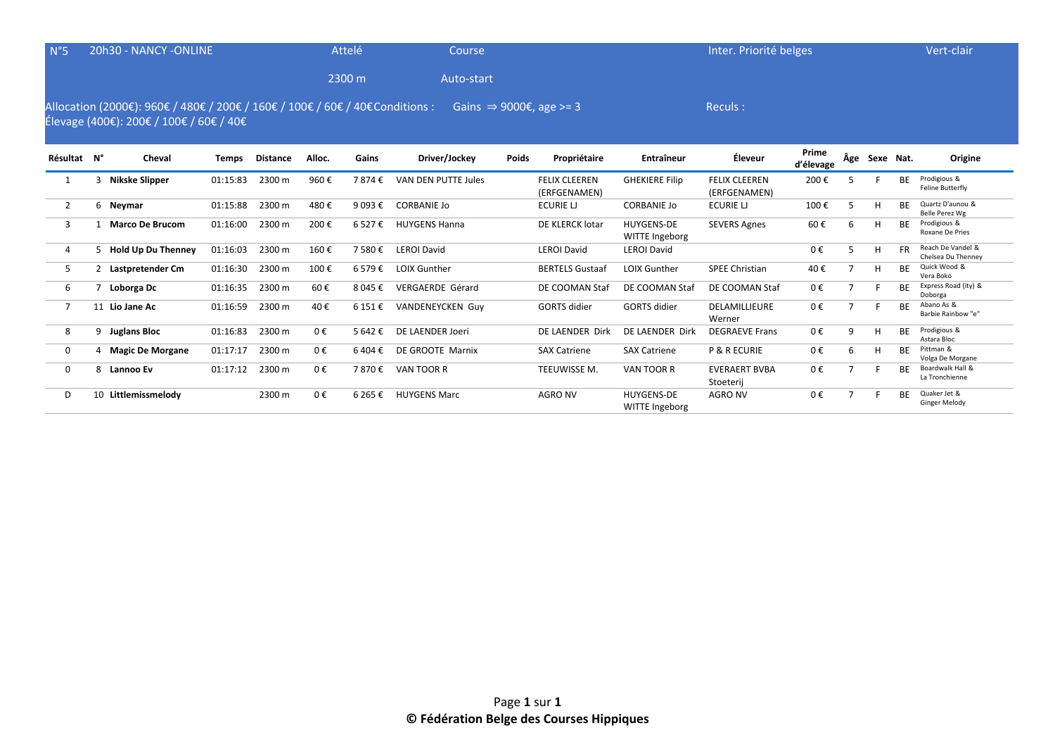| $N^{\circ}5$   |                | 20h30 - NANCY -ONLINE                                                                                                    |              |                 |         | Attelé  | Course                  |       |                                      |                                     | Inter. Priorité belges               |                    |                |           |           | Vert-clair                              |
|----------------|----------------|--------------------------------------------------------------------------------------------------------------------------|--------------|-----------------|---------|---------|-------------------------|-------|--------------------------------------|-------------------------------------|--------------------------------------|--------------------|----------------|-----------|-----------|-----------------------------------------|
|                |                |                                                                                                                          |              |                 |         | 2300 m  | Auto-start              |       |                                      |                                     |                                      |                    |                |           |           |                                         |
|                |                | Allocation (2000€): 960€ / 480€ / 200€ / 160€ / 100€ / 60€ / 40€ Conditions :<br>Élevage (400€): 200€ / 100€ / 60€ / 40€ |              |                 |         |         |                         |       | Gains $\Rightarrow$ 9000€, age >= 3  |                                     | Reculs:                              |                    |                |           |           |                                         |
| Résultat N°    |                | Cheval                                                                                                                   | <b>Temps</b> | <b>Distance</b> | Alloc.  | Gains   | Driver/Jockey           | Poids | Propriétaire                         | Entraîneur                          | Éleveur                              | Prime<br>d'élevage | Âge            | Sexe Nat. |           | Origine                                 |
| 1              |                | Nikske Slipper                                                                                                           | 01:15:83     | 2300 m          | 960€    | 7874€   | VAN DEN PUTTE Jules     |       | <b>FELIX CLEEREN</b><br>(ERFGENAMEN) | <b>GHEKIERE Filip</b>               | <b>FELIX CLEEREN</b><br>(ERFGENAMEN) | 200€               | 5              |           | <b>BE</b> | Prodigious &<br>Feline Butterfly        |
| $\overline{2}$ |                | 6 Neymar                                                                                                                 | 01:15:88     | 2300 m          | 480€    | 9 093 € | <b>CORBANIE Jo</b>      |       | <b>ECURIE LI</b>                     | <b>CORBANIE Jo</b>                  | ECURIE LJ                            | 100€               | 5              | н         | ВF        | Quartz D'aunou &<br>Belle Perez Wg      |
| 3              |                | <b>Marco De Brucom</b>                                                                                                   | 01:16:00     | 2300 m          | 200€    | 6 527€  | <b>HUYGENS Hanna</b>    |       | DE KLERCK lotar                      | <b>HUYGENS-DE</b><br>WITTE Ingeborg | <b>SEVERS Agnes</b>                  | 60€                | 6              | H         | <b>BE</b> | Prodigious &<br>Roxane De Pries         |
| 4              | 5.             | <b>Hold Up Du Thenney</b>                                                                                                | 01:16:03     | 2300 m          | 160€    | 7 580€  | <b>LEROI David</b>      |       | <b>LEROI David</b>                   | <b>LEROI David</b>                  |                                      | $0 \in$            | 5              | H         | FR.       | Reach De Vandel &<br>Chelsea Du Thenney |
| 5              | $\overline{2}$ | Lastpretender Cm                                                                                                         | 01:16:30     | 2300 m          | 100€    | 6579€   | <b>LOIX Gunther</b>     |       | <b>BERTELS Gustaaf</b>               | <b>LOIX Gunther</b>                 | <b>SPEE Christian</b>                | 40€                | $\overline{7}$ | н         | <b>BE</b> | Quick Wood &<br>Vera Boko               |
| 6              |                | Loborga Dc                                                                                                               | 01:16:35     | 2300 m          | 60€     | 8 045 € | <b>VERGAERDE Gérard</b> |       | DE COOMAN Staf                       | DE COOMAN Staf                      | DE COOMAN Staf                       | 0€                 | $\overline{7}$ |           | <b>BE</b> | Express Road (ity) &<br>Doborga         |
| $\overline{7}$ |                | 11 Lio Jane Ac                                                                                                           | 01:16:59     | 2300 m          | 40€     | 6 151 € | <b>VANDENEYCKEN Guy</b> |       | <b>GORTS</b> didier                  | <b>GORTS</b> didier                 | DELAMILLIEURE<br>Werner              | 0€                 | $\overline{7}$ |           | <b>BE</b> | Abano As &<br>Barbie Rainbow "e"        |
| 8              | 9              | <b>Juglans Bloc</b>                                                                                                      | 01:16:83     | 2300 m          | $0 \in$ | 5 642 € | DE LAENDER Joeri        |       | DE LAENDER Dirk                      | DE LAENDER Dirk                     | <b>DEGRAEVE Frans</b>                | $0 \in$            | 9              | H         | ВF        | Prodigious &<br>Astara Bloc             |
| $\mathbf 0$    |                | 4 Magic De Morgane                                                                                                       | 01:17:17     | 2300 m          | $0 \in$ | 6404€   | DE GROOTE Marnix        |       | <b>SAX Catriene</b>                  | <b>SAX Catriene</b>                 | <b>P &amp; R ECURIE</b>              | 0€                 | 6              | н         | <b>BE</b> | Pittman &<br>Volga De Morgane           |
| 0              | 8              | <b>Lannoo Ev</b>                                                                                                         | 01:17:12     | 2300 m          | $0 \in$ | 7870€   | VAN TOOR R              |       | TEEUWISSE M.                         | VAN TOOR R                          | <b>EVERAERT BVBA</b><br>Stoeterij    | 0€                 | $\overline{ }$ |           | <b>BF</b> | Boardwalk Hall &<br>La Tronchienne      |
| D              | 10             | Littlemissmelody                                                                                                         |              | 2300 m          | $0 \in$ | 6 265 € | <b>HUYGENS Marc</b>     |       | <b>AGRO NV</b>                       | <b>HUYGENS-DE</b><br>WITTE Ingeborg | <b>AGRO NV</b>                       | $0 \in$            |                |           | <b>RF</b> | Quaker Jet &<br><b>Ginger Melody</b>    |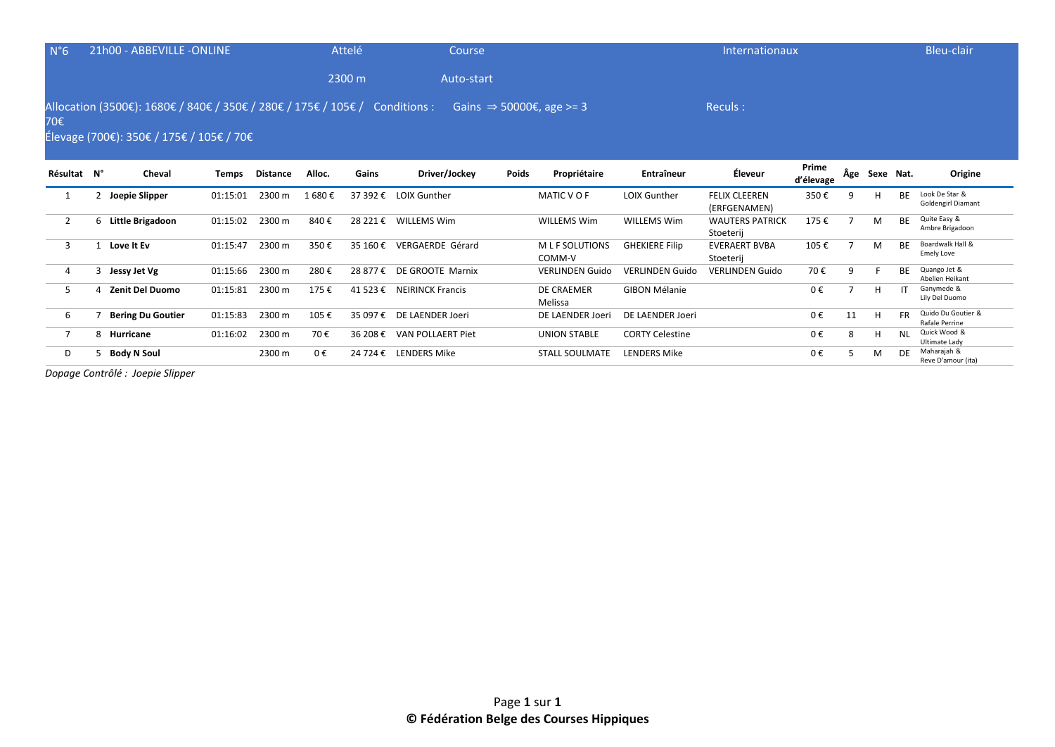| $N^{\circ}6$   | 21h00 - ABBEVILLE -ONLINE                                                                                               |          |                 |         | Attelé   | Course                    |              |                                      |                        | Internationaux                       |                    |     |           |           | Bleu-clair                                  |
|----------------|-------------------------------------------------------------------------------------------------------------------------|----------|-----------------|---------|----------|---------------------------|--------------|--------------------------------------|------------------------|--------------------------------------|--------------------|-----|-----------|-----------|---------------------------------------------|
|                |                                                                                                                         |          |                 |         | 2300 m   | Auto-start                |              |                                      |                        |                                      |                    |     |           |           |                                             |
| 70€            | Allocation (3500€): 1680€ / 840€ / 350€ / 280€ / 175€ / 105€ / Conditions :<br>Élevage (700€): 350€ / 175€ / 105€ / 70€ |          |                 |         |          |                           |              | Gains $\Rightarrow$ 50000€, age >= 3 |                        | Reculs:                              |                    |     |           |           |                                             |
| Résultat N°    | Cheval                                                                                                                  | Temps    | <b>Distance</b> | Alloc.  | Gains    | Driver/Jockey             | <b>Poids</b> | Propriétaire                         | Entraîneur             | Éleveur                              | Prime<br>d'élevage | Âge | Sexe Nat. |           | Origine                                     |
|                | 2 Joepie Slipper                                                                                                        | 01:15:01 | 2300 m          | 1 680 € |          | 37 392 € LOIX Gunther     |              | MATIC V O F                          | LOIX Gunther           | <b>FELIX CLEEREN</b><br>(ERFGENAMEN) | 350€               |     |           | <b>BE</b> | Look De Star &<br><b>Goldengirl Diamant</b> |
| $\mathbf{2}$   | 6 Little Brigadoon                                                                                                      | 01:15:02 | 2300 m          | 840€    | 28 221 € | <b>WILLEMS Wim</b>        |              | <b>WILLEMS Wim</b>                   | <b>WILLEMS Wim</b>     | <b>WAUTERS PATRICK</b><br>Stoeterij  | 175€               |     | M         | <b>BE</b> | Quite Easy &<br>Ambre Brigadoon             |
| $\overline{3}$ | Love It Ev                                                                                                              | 01:15:47 | 2300 m          | 350€    | 35 160 € | VERGAERDE Gérard          |              | M L F SOLUTIONS<br>COMM-V            | <b>GHEKIERE Filip</b>  | <b>EVERAERT BVBA</b><br>Stoeterij    | 105€               |     | M         | <b>BE</b> | Boardwalk Hall &<br><b>Emely Love</b>       |
| 4              | 3 Jessy Jet Vg                                                                                                          | 01:15:66 | 2300 m          | 280€    | 28 877 € | DE GROOTE Marnix          |              | <b>VERLINDEN Guido</b>               | <b>VERLINDEN Guido</b> | <b>VERLINDEN Guido</b>               | 70€                | 9   |           | <b>BE</b> | Quango Jet &<br>Abelien Heikant             |
| 5              | 4 Zenit Del Duomo                                                                                                       | 01:15:81 | 2300 m          | 175€    |          | 41 523 € NEIRINCK Francis |              | <b>DE CRAEMER</b><br>Melissa         | <b>GIBON Mélanie</b>   |                                      | $0 \in$            |     | H         |           | Ganymede &<br>Lily Del Duomo                |
| 6              | <b>Bering Du Goutier</b>                                                                                                | 01:15:83 | 2300 m          | 105€    | 35 097€  | DE LAENDER Joeri          |              | DE LAENDER Joeri                     | DE LAENDER Joeri       |                                      | $0 \in$            | 11  | H         | <b>FR</b> | Quido Du Goutier &<br>Rafale Perrine        |
|                | 8 Hurricane                                                                                                             | 01:16:02 | 2300 m          | 70€     | 36 208 € | VAN POLLAERT Piet         |              | <b>UNION STABLE</b>                  | <b>CORTY Celestine</b> |                                      | 0€                 | 8   | H         | <b>NL</b> | Quick Wood &<br>Ultimate Lady               |

Example 21<br>
Reve D'amour (ita)<br>
Reve D'amour (ita)

D 5 **Body N Soul** 2300 m 0 € 24 724 € LENDERS Mike STALL SOULMATE LENDERS Mike 0 €

*Dopage Contrôlé : Joepie Slipper*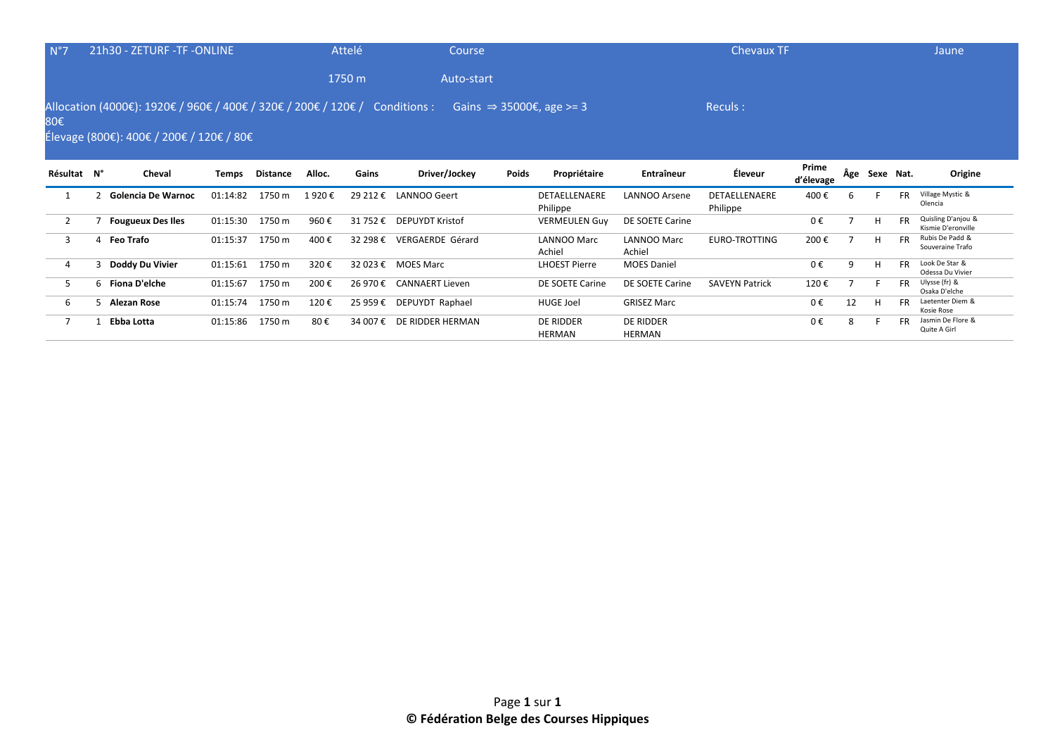| N°7            | 21h30 - ZETURF -TF -ONLINE                                                                                              |          |                 |        | Attelé   | Course                   |              |                                      |                       | <b>Chevaux TF</b>     |                    |    |               |           | Jaune                                    |
|----------------|-------------------------------------------------------------------------------------------------------------------------|----------|-----------------|--------|----------|--------------------------|--------------|--------------------------------------|-----------------------|-----------------------|--------------------|----|---------------|-----------|------------------------------------------|
|                |                                                                                                                         |          |                 |        | 1750 m   | Auto-start               |              |                                      |                       |                       |                    |    |               |           |                                          |
| 80€            | Allocation (4000€): 1920€ / 960€ / 400€ / 320€ / 200€ / 120€ / Conditions :<br>Élevage (800€): 400€ / 200€ / 120€ / 80€ |          |                 |        |          |                          |              | Gains $\Rightarrow$ 35000€, age >= 3 |                       | Reculs:               |                    |    |               |           |                                          |
| Résultat N°    | Cheval                                                                                                                  | Temps    | <b>Distance</b> | Alloc. | Gains    | Driver/Jockey            | <b>Poids</b> | Propriétaire                         | Entraîneur            | Éleveur               | Prime<br>d'élevage |    | Âge Sexe Nat. |           | Origine                                  |
|                | <b>Golencia De Warnoc</b>                                                                                               | 01:14:82 | 1750 m          | 1920€  | 29 212 € | LANNOO Geert             |              | DETAELLENAERE                        | <b>LANNOO Arsene</b>  | DETAELLENAERE         | 400€               | h  |               | <b>FR</b> | Village Mystic &<br>Olencia              |
|                |                                                                                                                         |          |                 |        |          |                          |              | Philippe                             |                       | Philippe              |                    |    |               |           |                                          |
| $\overline{2}$ | <b>Fougueux Des Iles</b>                                                                                                | 01:15:30 | 1750 m          | 960€   | 31 752 € | <b>DEPUYDT Kristof</b>   |              | <b>VERMEULEN Guy</b>                 | DE SOETE Carine       |                       | 0€                 |    | H             | <b>FR</b> | Quisling D'anjou &<br>Kismie D'eronville |
| 3              | 4 Feo Trafo                                                                                                             | 01:15:37 | 1750 m          | 400€   | 32 298 € | VERGAERDE Gérard         |              | LANNOO Marc<br>Achiel                | LANNOO Marc<br>Achiel | EURO-TROTTING         | 200€               |    | H             | <b>FR</b> | Rubis De Padd &<br>Souveraine Trafo      |
| 4              | 3 Doddy Du Vivier                                                                                                       | 01:15:61 | 1750 m          | 320€   |          | 32 023 € MOES Marc       |              | <b>LHOEST Pierre</b>                 | <b>MOES Daniel</b>    |                       | 0€                 | 9  | H             | <b>FR</b> | Look De Star &<br>Odessa Du Vivier       |
| 5              | 6 Fiona D'elche                                                                                                         | 01:15:67 | 1750 m          | 200€   |          | 26 970 € CANNAERT Lieven |              | DE SOETE Carine                      | DE SOETE Carine       | <b>SAVEYN Patrick</b> | 120€               |    |               | <b>FR</b> | Ulysse (fr) &<br>Osaka D'elche           |
| 6              | 5 Alezan Rose                                                                                                           | 01:15:74 | 1750 m          | 120€   | 25 959€  | DEPUYDT Raphael          |              | <b>HUGE Joel</b>                     | <b>GRISEZ Marc</b>    |                       | 0€                 | 12 | H             | <b>FR</b> | Laetenter Diem &<br>Kosie Rose           |

HERMAN

HERMAN